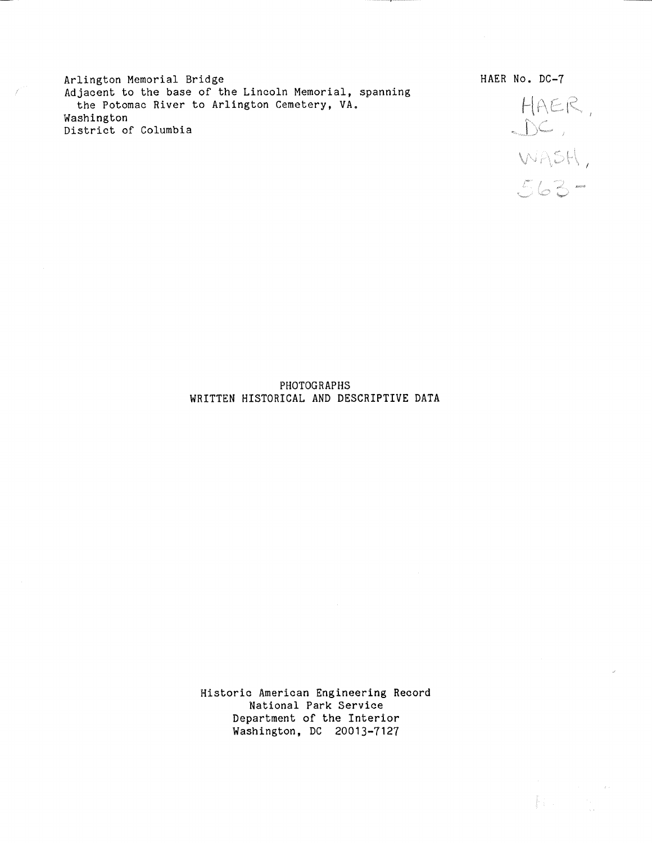Arlington Memorial Bridge Adjacent to the base of the Lincoln Memorial, spanning the Potomac River to Arlington Cemetery, VA. Washington District of Columbia

HAER,<br>DC,<br>WASH,<br>563-

HAER No. DC-7

PHOTOGRAPHS WRITTEN HISTORICAL AND DESCRIPTIVE DATA

Historic American Engineering Record National Park Service Department of the Interior Washington, DC 20013-7127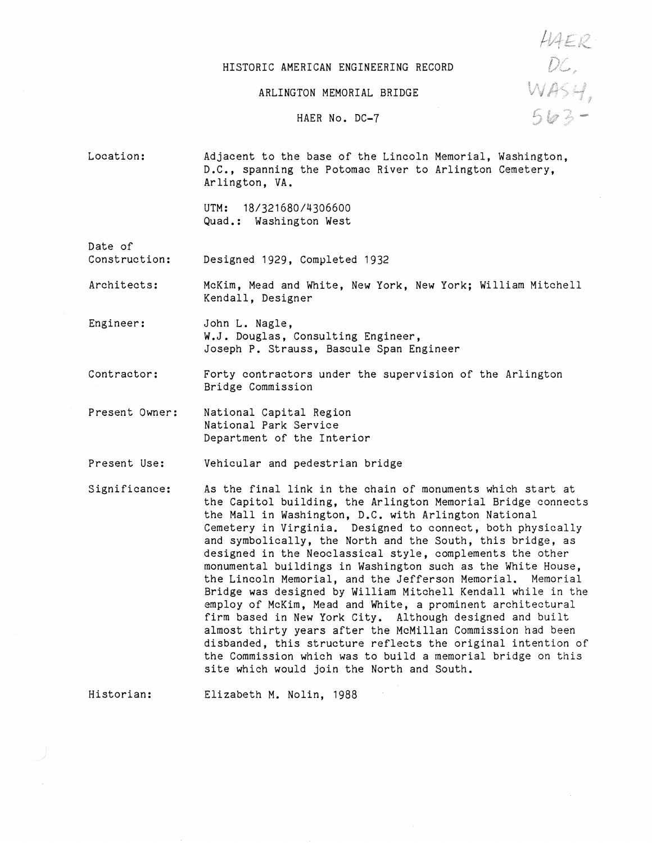#### HISTORIC AMERICAN ENGINEERING RECORD

HAER<br>DC:<br>WASH,<br>563-

ARLINGTON MEMORIAL BRIDGE

### HAER No. DC-7

Location: Adjacent to the base of the Lincoln Memorial, Washington, D.C., spanning the Potomac River to Arlington Cemetery, Arlington, VA.

> UTM: 18/321680/4306600 Quad.: Washington West

Date of

Construction: Designed 1929, Completed 1932

Architects: McKim, Mead and White, New York, New York; William Mitchell Kendall, Designer

Engineer: John L. Nagle, W.J. Douglas, Consulting Engineer, Joseph P. Strauss, Bascule Span Engineer

Contractor: Forty contractors under the supervision of the Arlington Bridge Commission

Present Owner: National Capital Region National Park Service Department of the Interior

Present Use: Vehicular and pedestrian bridge

Significance: As the final link in the chain of monuments which start at the Capitol building, the Arlington Memorial Bridge connects the Mall in Washington, D.C. with Arlington National Cemetery in Virginia. Designed to connect, both physically and symbolically, the North and the South, this bridge, as designed in the Neoclassical style, complements the other monumental buildings in Washington such as the White House, the Lincoln Memorial, and the Jefferson Memorial. Memorial Bridge was designed by William Mitchell Kendall while in the employ of McKim, Mead and White, a prominent architectural firm based in New York City. Although designed and built almost thirty years after the McMillan Commission had been disbanded, this structure reflects the original intention of the Commission which was to build a memorial bridge on this site which would join the North and South.

Historian:

Elizabeth M. Nolin, 1988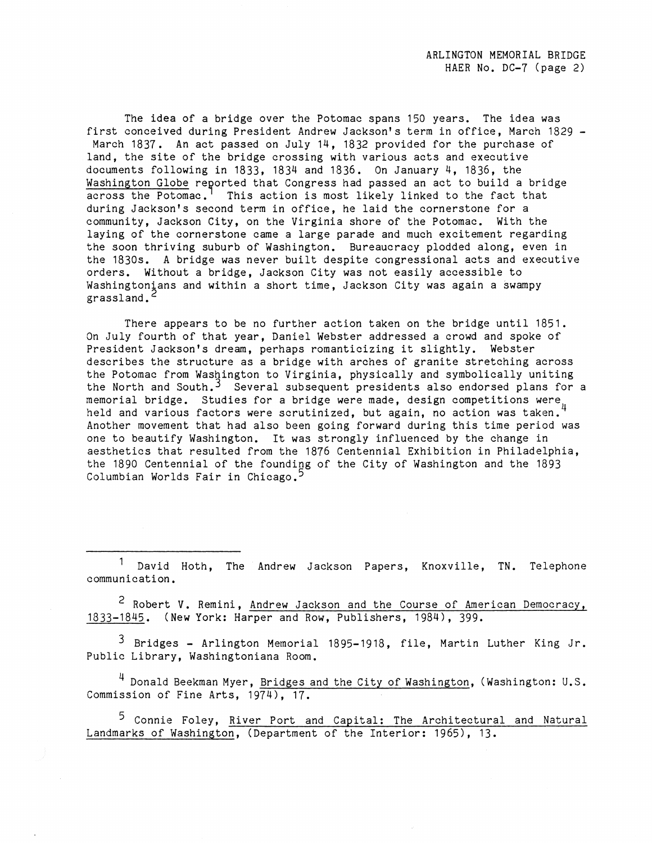The idea of a bridge over the Potomac spans 150 years. The idea was first conceived during President Andrew Jackson's term in office, March 1829 - March 1837. An act passed on July 14, 1832 provided for the purchase of land, the site of the bridge crossing with various acts and executive documents following in 1833, 1834 and 1836. On January 4, 1836, the Washington Globe reported that Congress had passed an act to build a bridge across the Potomac.<sup>1</sup> This action is most likely linked to the fact that during Jackson's second term in office, he laid the cornerstone for a community, Jackson City, on the Virginia shore of the Potomac. With the laying of the cornerstone came a large parade and much excitement regarding the soon thriving suburb of Washington. Bureaucracy plodded along, even in the 1830s. A bridge was never built despite congressional acts and executive orders. Without a bridge, Jackson City was not easily accessible to Washingtonians and within a short time, Jackson City was again a swampy grassland.<sup>2</sup>

There appears to be no further action taken on the bridge until 1851. On July fourth of that year, Daniel Webster addressed a crowd and spoke of President Jackson's dream, perhaps romanticizing it slightly. Webster describes the structure as a bridge with arches of granite stretching across the Potomac from Washington to Virginia, physically and symbolically uniting the North and South.<sup>3</sup> Several subsequent presidents also endorsed plans for a memorial bridge. Studies for a bridge were made, design competitions were  $\mu$ held and various factors were scrutinized, but again, no action was taken. Another movement that had also been going forward during this time period was one to beautify Washington. It was strongly influenced by the change in aesthetics that resulted from the 1876 Centennial Exhibition in Philadelphia, the 1890 Centennial of the founding of the City of Washington and the 1893 Columbian Worlds Fair in Chicago.<sup>5</sup>

David Hoth, The Andrew Jackson Papers, Knoxville, TN. Telephone communication.

<sup>2</sup> Robert V. Remini, Andrew Jackson and the Course of American Democracy, 1833-1845. (New York: Harper and Row, Publishers, 1984), 399.

<sup>3</sup> Bridges - Arlington Memorial 1895-1918, file, Martin Luther King Jr. Public Library, Washingtoniana Room.

<sup>4</sup> Donald Beekman Myer, Bridges and the City of Washington, (Washington: U.S. Commission of Fine Arts, 1974), 17.

5 Connie Foley, River Port and Capital: The Architectural and Natural Landmarks of Washington, (Department of the Interior: 1965), 13.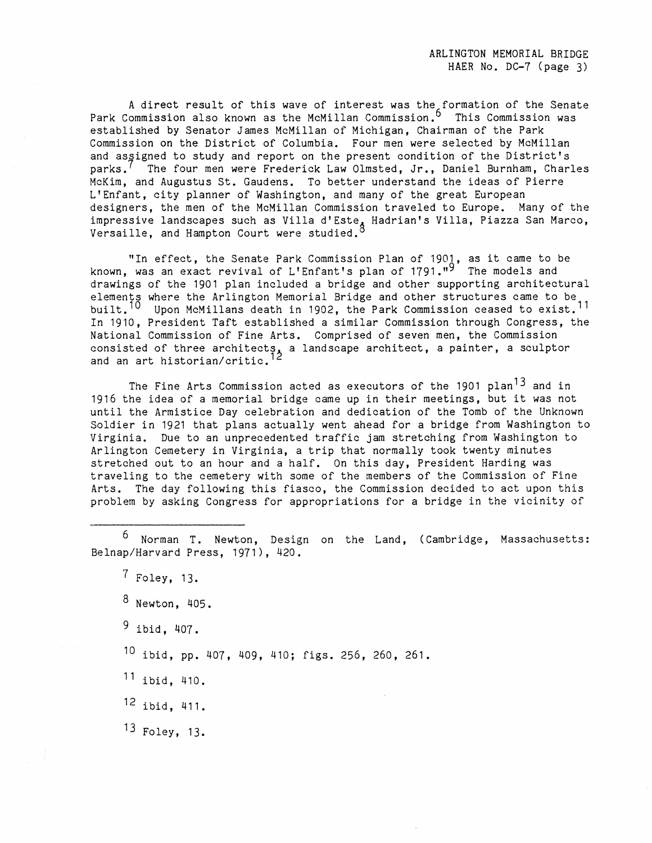A direct result of this wave of interest was the formation of the Senate Park Commission also known as the McMillan Commission.<sup>6</sup> This Commission was established by Senator James McMillan of Michigan, Chairman of the Park Commission on the District of Columbia. Four men were selected by McMillan and assigned to study and report on the present condition of the District's parks.<sup>1</sup> The four men were Frederick Law Olmsted, Jr., Daniel Burnham, Charles McKim, and Augustus St. Gaudens. To better understand the ideas of Pierre L'Enfant, city planner of Washington, and many of the great European designers, the men of the McMillan Commission traveled to Europe. Many of the impressive landscapes such as Villa d'Este<sub>a</sub> Hadrian's Villa, Piazza San Marco, Versaille, and Hampton Court were studied.

"In effect, the Senate Park Commission Plan of 1901, as it came to be known, was an exact revival of L'Enfant's plan of 1791."<sup>9</sup> The models and drawings of the 1901 plan included a bridge and other supporting architectural elements where the Arlington Memorial Bridge and other structures came to be built.<sup>10</sup> Upon McMillans death in 1902, the Park Commission ceased to exist.<sup>11</sup> In 1910, President Taft established a similar Commission through Congress, the National Commission of Fine Arts. Comprised of seven men, the Commission consisted of three architects, a landscape architect, a painter, a sculptor and an art historian/critic.

The Fine Arts Commission acted as executors of the 1901 plan<sup>13</sup> and in 1916 the idea of a memorial bridge came up in their meetings, but it was not until the Armistice Day celebration and dedication of the Tomb of the Unknown Soldier in 1921 that plans actually went ahead for a bridge from Washington to Virginia. Due to an unprecedented traffic jam stretching from Washington to Arlington Cemetery in Virginia, a trip that normally took twenty minutes stretched out to an hour and a half. On this day, President Harding was traveling to the cemetery with some of the members of the Commission of Fine Arts. The day following this fiasco, the Commission decided to act upon this problem by asking Congress for appropriations for a bridge in the vicinity of

6 Norman T. Newton, Design on the Land, (Cambridge, Massachusetts: Belnap/Harvard Press, 1971), 420.

12 ibid, 411.

13 Foley, 13.

<sup>7</sup> Foley, 13.

<sup>8</sup> Newton, 405.

 $9$  ibid. 407.

<sup>10</sup> ibid, pp. 407, 409, 410; figs. 256, 260, 261.

<sup>11</sup> ibid, 410.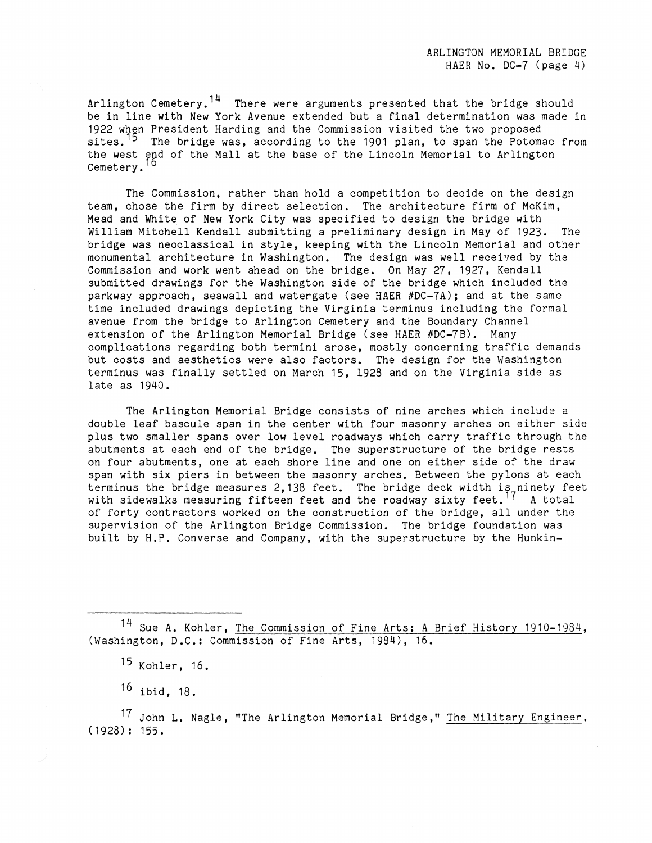Arlington Cemetery.<sup>14</sup> There were arguments presented that the bridge should be in line with New York Avenue extended but a final determination was made in 1922 when President Harding and the Commission visited the two proposed sites.<sup>15</sup> The bridge was, according to the 1901 plan, to span the Potomac from the west end of the Mall at the base of the Lincoln Memorial to Arlington Cemetery.

The Commission, rather than hold a competition to decide on the design team, chose the firm by direct selection, The architecture firm of McKim, Mead and White of New York City was specified to design the bridge with William Mitchell Kendall submitting a preliminary design in May of 1923, The bridge was neoclassical in style, keeping with the Lincoln Memorial and other monumental architecture in Washington. The design was well received by the Commission and work went ahead on the bridge, On May 27, 1927, Kendall submitted drawings for the Washington side of the bridge which included the parkway approach, seawall and watergate (see HAER #DC-7A); and at the same time included drawings depicting the Virginia terminus including the formal avenue from the bridge to Arlington Cemetery and the Boundary Channel extension of the Arlington Memorial Bridge (see HAER #DC-7B). Many complications regarding both termini arose, mostly concerning traffic demands but costs and aesthetics were also factors. The design for the Washington terminus was finally settled on March 15, 1928 and on the Virginia side as late as 1940,

The Arlington Memorial Bridge consists of nine arches which include a double leaf bascule span in the center with four masonry arches on either side plus two smaller spans over low level roadways which carry traffic through the abutments at each end of the bridge, The superstructure of the bridge rests on four abutments, one at each shore line and one on either side of the draw span with six piers in between the masonry arches, Between the pylons at each terminus the bridge measures 2,138 feet. The bridge deck width is ninety feet with sidewalks measuring fifteen feet and the roadway sixty feet.<sup>17</sup> A total of forty contractors worked on the construction of the bridge, all under the supervision of the Arlington Bridge Commission, The bridge foundation was built by H.P. Converse and Company, with the superstructure by the Hunkin-

<sup>14</sup> Sue A. Kohler, The Commission of Fine Arts: A Brief History 1910-1984, (Washington, D.C.: Commission of Fine Arts, 1984), 16.

<sup>17</sup> John L. Nagle, "The Arlington Memorial Bridge," The Military Engineer.  $(1928): 155.$ 

<sup>15</sup> Kohler, 16,

<sup>16</sup> ibid, 18.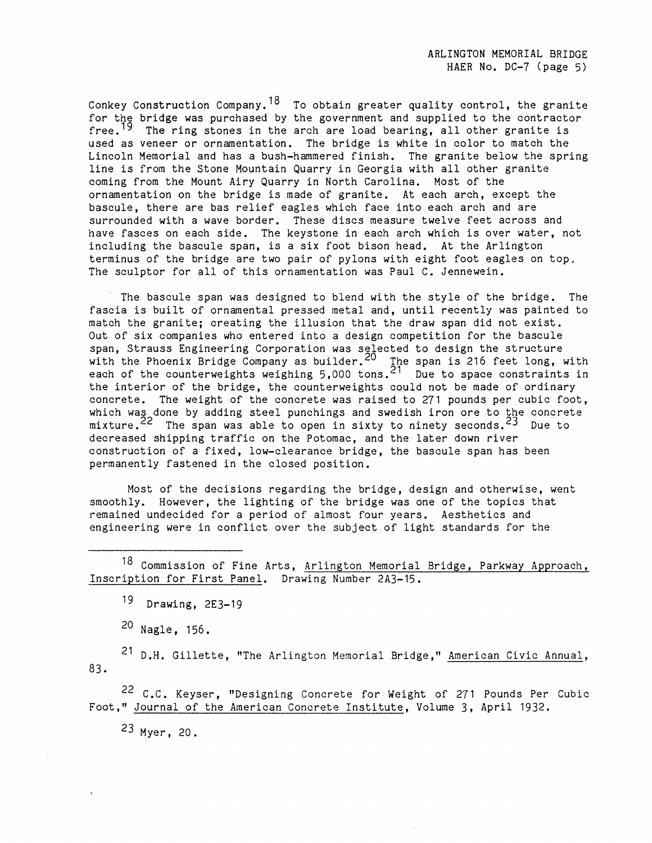Conkey Construction Company.<sup>18</sup> To obtain greater quality control, the granite for the bridge was purchased by the government and supplied to the contractor free.<sup>19</sup> The ring stones in the arch are load bearing, all other granite is used as veneer or ornamentation. The bridge is white in color to match the Lincoln Memorial and has a bush-hammered finish. The granite below the spring line is from the Stone Mountain Quarry in Georgia with all other granite coming from the Mount Airy Quarry in North Carolina. Most of the ornamentation on the bridge is made of granite. At each arch, except the bascule, there are bas relief eagles which face into each arch and are surrounded with a wave border. These discs measure twelve feet across and have fasces on each side. The keystone in each arch which is over water, not including the bascule span, is a six foot bison head. At the Arlington terminus of the bridge are two pair of pylons with eight foot eagles on top, The sculptor for all of this ornamentation was Paul C. Jennewein.

The bascule span was designed to blend with the style of the bridge. The fascia is built of ornamental pressed metal and, until recently was painted to match the granite; creating the illusion that the draw span did not exist. Out of six companies who entered into a design competition for the bascule span, Strauss Engineering Corporation was selected to design the structure with the Phoenix Bridge Company as builder.  $20$  The span is 216 feet long, with each of the counterweights weighing 5,000 tons.<sup>21</sup> Due to space constraints in the interior of the bridge, the counterweights could not be made of ordinary concrete. The weight of the concrete was raised to 271 pounds per cubic foot, which was done by adding steel punchings and swedish iron ore to the concrete mixture.<sup>22</sup> The span was able to open in sixty to ninety seconds.<sup>23</sup> Due to decreased shipping traffic on the Potomac, and the later down river construction of a fixed, low-clearance bridge, the bascule span has been permanently fastened in the closed position.

Most of the decisions regarding the bridge, design and otherwise, went smoothly. However, the lighting of the bridge was one of the topics that remained undecided for a period of almost four years. Aesthetics and engineering were in conflict over the subject of light standards for the

18 Commission of Fine Arts, Arlington Memorial Bridge, Parkway Approach, Inscription for First Panel. Drawing Number 2A3-15.

19 **Drawing,** 2E3-19

20 Nagle, 156.

83. 21 D.H. Gillette, "The Arlington Memorial Bridge," American Civic Annual,

22 C.C. Keyser, "Designing Concrete for Weight of 271 Pounds Per Cubic Foot," Journal of the American Concrete Institute, Volume 3, April 1932.

23 Myer, 20.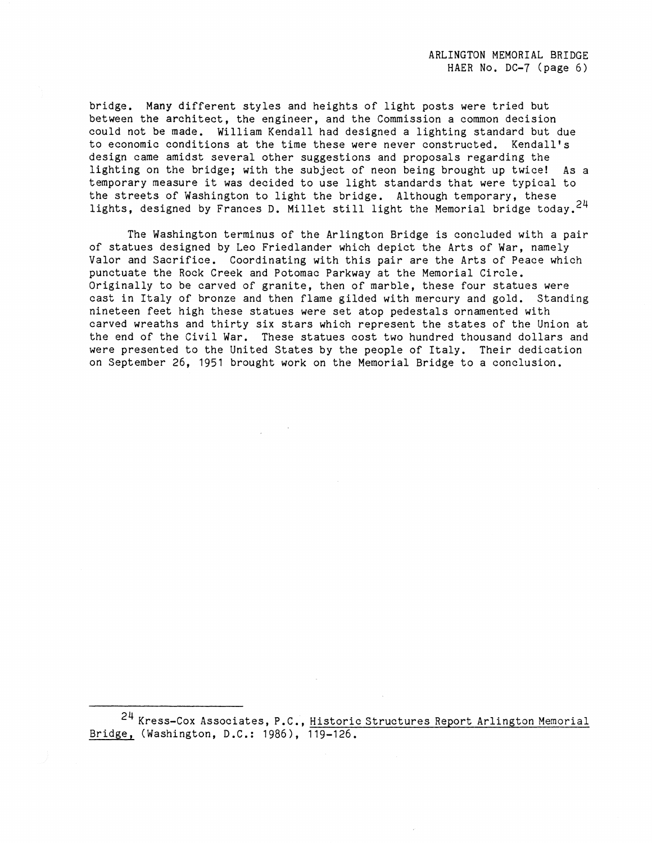bridge. **Many** different styles and heights of light posts were tried but between the architect, the engineer, and the Commission a common decision could not be made. William Kendall had designed a lighting standard but due to economic conditions at the time these were never constructed. Kendall's design came amidst several other suggestions and proposals regarding the lighting on the bridge; with the subject of neon being brought up twice! As a temporary measure it was decided to use light standards that were typical to the streets of Washington to light the bridge. Although temporary, these lights, designed by Frances D. Millet still light the Memorial bridge today.<sup>24</sup>

The Washington terminus of the Arlington Bridge is concluded with a pair of statues designed by Leo Friedlander which depict the Arts of War, namely Valor and Sacrifice. Coordinating with this pair are the Arts of Peace which punctuate the Rock Creek and Potomac Parkway at the Memorial Circle. Originally to be carved of granite, then of marble, these four statues were cast in Italy of bronze and then flame gilded with mercury and gold. Standing nineteen feet high these statues were set atop pedestals ornamented with carved wreaths and thirty six stars which represent the states of the Union at the end of the Civil War. These statues cost two hundred thousand dollars and were presented to the United States by the people of Italy. Their dedication on September 26, 1951 brought work on the Memorial Bridge to a conclusion.

<sup>24</sup> Kress-Cox Associates, P.C., Historic Structures Report Arlington Memorial Bridge, (Washington, D.C.: 1986), 119-126.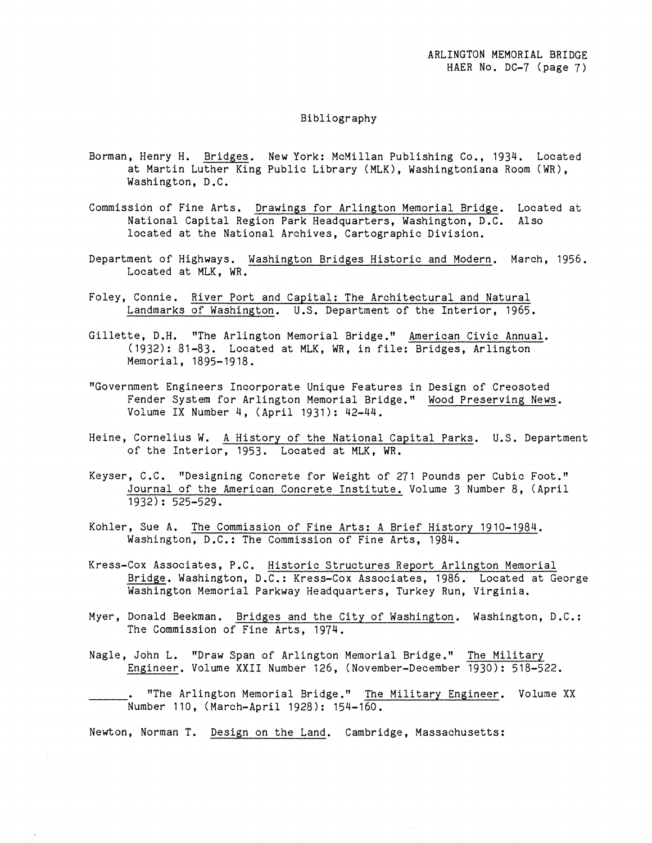### Bibliography

- Borman, Henry H. Bridges. New York: McMillan Publishing Co., 1934. Located at Martin Luther King Public Library (MLK), Washingtoniana Room (WR), Washington, D.C.
- Commission of Fine Arts. Drawings for Arlington Memorial Bridge. Located at National Capital Region Park Headquarters, Washington, D.C. Also located at the National Archives, Cartographic Division.
- Department of Highways. Washington Bridges Historic and Modern. March, 1956. Located at MLK, WR.
- Foley, Connie. River Port and Capital: The Architectural and Natural Landmarks of Washington. U.S. Department of the Interior, 1965.
- Gillette, D.H. "The Arlington Memorial Bridge." American Civic Annual. (1932): 81-83. Located at MLK, WR, in file: Bridges, Arlington Memorial, 1895-1918.
- "Government Engineers Incorporate Unique Features in Design of Creosoted Fender System for Arlington Memorial Bridge." Wood Preserving News. Volume IX Number 4, (April 1931): 42-44.
- Heine, Cornelius W. A History of the National Capital Parks. U.S. Department of the Interior, 1953. Located at MLK, WR.
- Keyser, C.C. "Designing Concrete for Weight of 271 Pounds per Cubic Foot." Journal of the American Concrete Institute. Volume 3 Number 8, (April 1932): 525-529.
- Kohler, Sue A. The Commission of Fine Arts: A Brief History 1910-1984. Washington, D.C.: The Commission of Fine Arts, 1984.
- Kress-Cox Associates, P.C. Historic Structures Report Arlington Memorial Bridge. Washington, D.C.: Kress-Cox Associates, 1986. Located at George Washington Memorial Parkway Headquarters, Turkey Run, Virginia.
- Myer, Donald Beekman. Bridges and the City of Washington. Washington, D.C.: The Commission of Fine Arts, 1974.
- Nagle, John L. "Draw Span of Arlington Memorial Bridge." The Military Engineer. Volume **XXII** Number 126, (November-December 1930): 518-522.

"The Arlington Memorial Bridge." The Military Engineer. Volume XX Number 110, (March-April 1928): 154-160.

Newton, Norman T. Design on the Land. Cambridge, Massachusetts: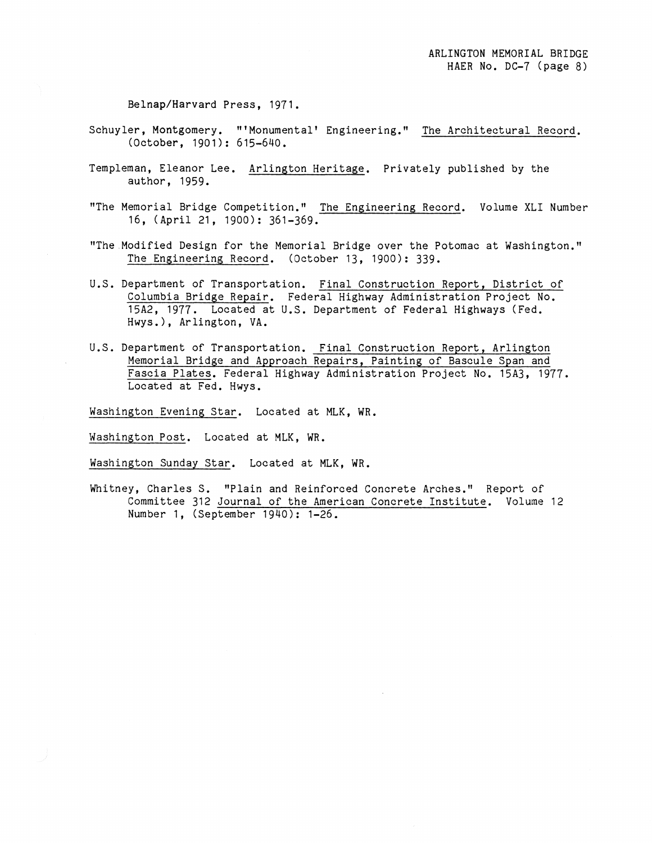Belnap/Harvard Press, 1971.

- Schuyler, Montgomery. "'Monumental' Engineering." The Architectural Record. (October, 1901): 615-640.
- Templeman, Eleanor Lee. Arlington Heritage. Privately published by the author, 1959.
- "The Memorial Bridge Competition." The Engineering Record. Volume XLI Number 16, (April 21, 1900): 361-369.
- "The.Modified Design for the Memorial Bridge over the Potomac at Washington." The Engineering Record. (October 13, 1900): 339.
- U.S. Department of Transportation. Final Construction Report, District of Columbia Bridge Repair. Federal Highway Administration Project No. 15A2, 1977. Located at U.S. Department of Federal Highways (Fed. Hwys.), Arlington, VA.
- U.S. Department of Transportation. Final Construction Report, Arlington Memorial Bridge and Approach Repairs, Painting of Bascule Span and Fascia Plates. Federal Highway Administration Project No. 15A3, 1977. Located at Fed. Hwys.

Washington Evening Star. Located at MLK, WR.

Washington Post. Located at MLK, WR.

Washington Sunday Star. Located at MLK, WR.

Whitney, Charles S. "Plain and Reinforced Concrete Arches." Report of Committee 312 Journal of the American Concrete Institute. Volume 12 Number 1, (September 1940): 1-26.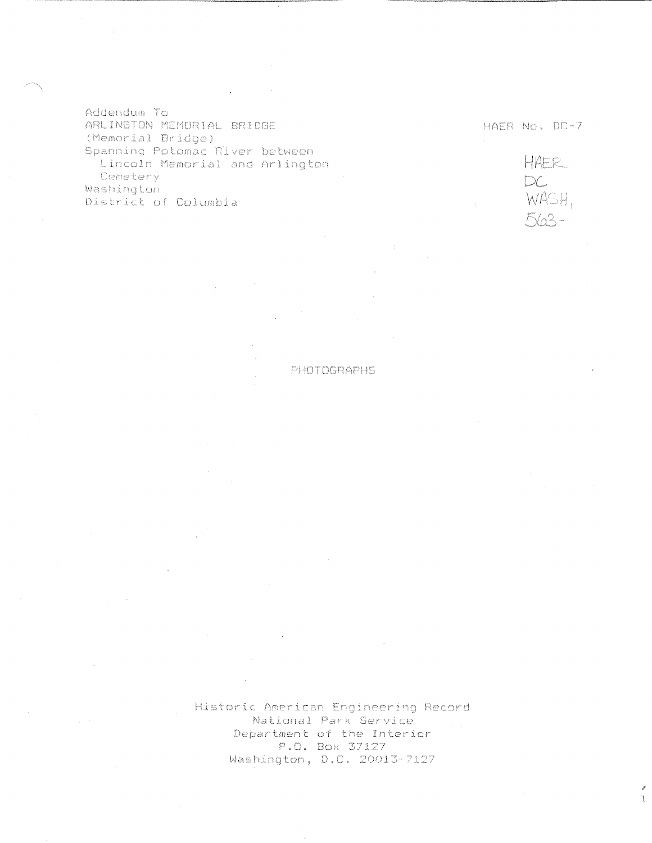Addendum To ARLINGTON MEMORIAL BRIDGE (Memorial Bridge) Spanning Potomac River between Lincoln Memorial and Arlington Cemetery Washington District of Columbia

HAER No. DC-7

HAER<br>DC<br>WASH,  $563 -$ 

PHOTOGRAPHS

Historic American Engineering Record National Park Service Department of the Interior P.O. Box 37127 Washington, D.C. 20013-7127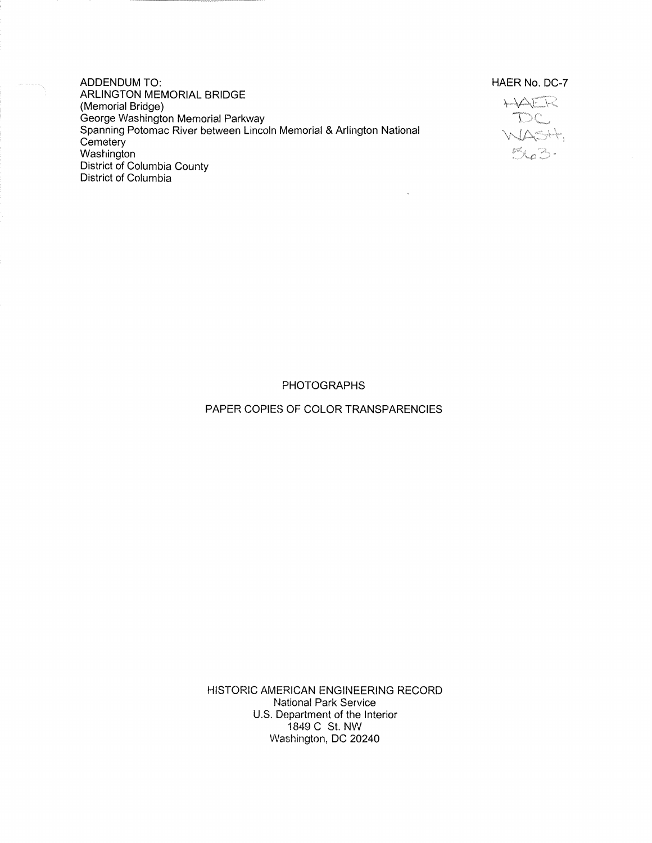ADDENDUM TO: ARLINGTON MEMORIAL BRIDGE (Memorial Bridge) George Washington Memorial Parkway Spanning Potomac River between Lincoln Memorial & Arlington National Cemetery **Washington** District of Columbia County District of Columbia

HAER No. DC-7



PHOTOGRAPHS

PAPER COPIES OF COLOR TRANSPARENCIES

HISTORIC AMERICAN ENGINEERING RECORD National Park Service U.S. Department of the Interior 1849 C St. NW Washington, DC 20240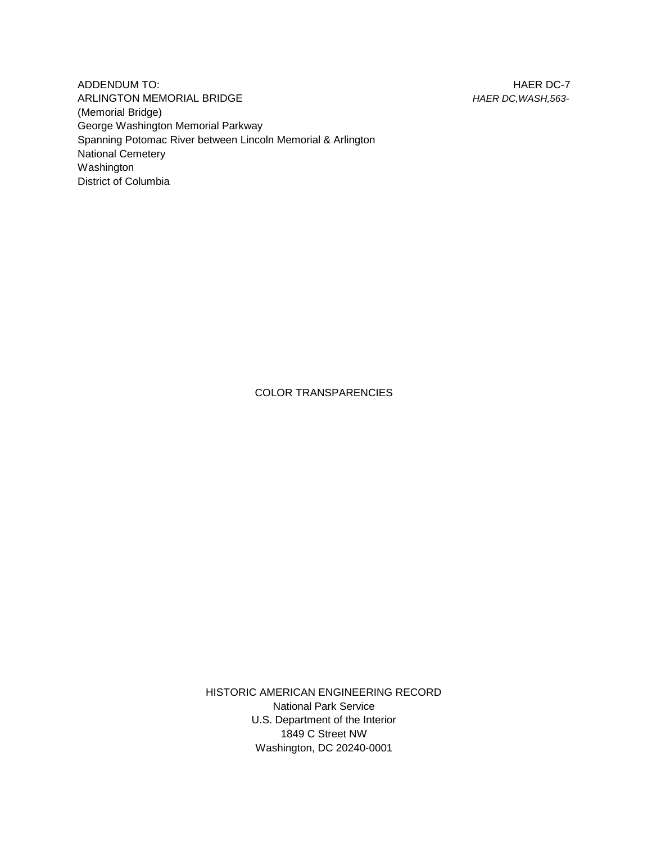HAER DC-7 *HAER DC,WASH,563-*

ADDENDUM TO: ARLINGTON MEMORIAL BRIDGE (Memorial Bridge) George Washington Memorial Parkway Spanning Potomac River between Lincoln Memorial & Arlington National Cemetery Washington District of Columbia

COLOR TRANSPARENCIES

HISTORIC AMERICAN ENGINEERING RECORD National Park Service U.S. Department of the Interior 1849 C Street NW Washington, DC 20240-0001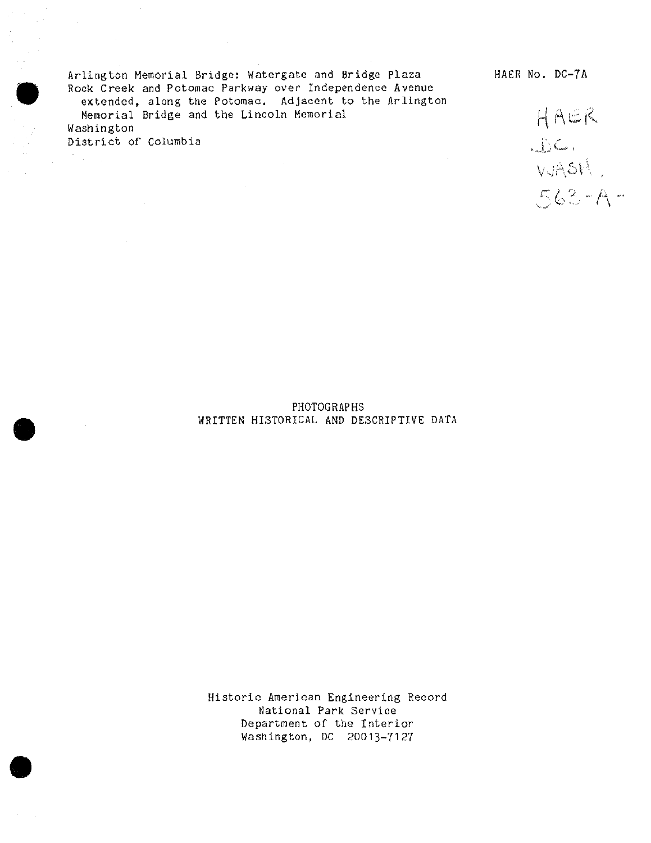Arlington Memorial Bridge: Watergate and Bridge Plaza HAER No. DC-7A Rock Creek and Potomac Parkway over Independence Avenue extended, along the Potomac. Adjacent to the Arlington Memorial Bridge and the Lincoln Memorial Washington

 $HACR$ District of Columbia  $\bigcup_{V \neq \uparrow} C$ ,  $V \neq \uparrow$ *rMZ~f*

### PHOTOGRAPHS WRITTEN HISTORICAL AND DESCRIPTIVE DATA

Historic American Engineering Record National Park Service Department of the Interior Washington, DC 20013-7127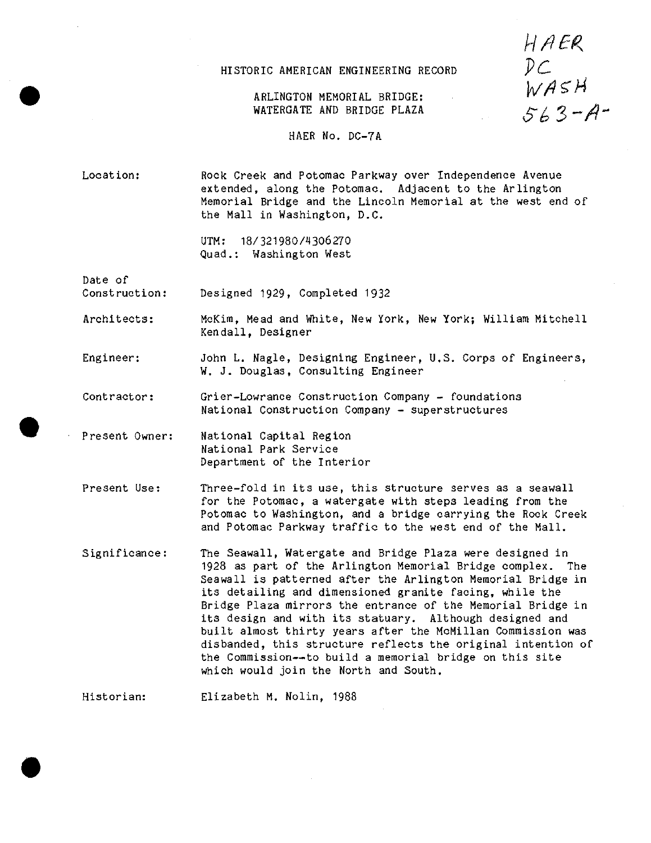# HISTORIC AMERICAN ENGINEERING RECORD

HAER *PC*<br>WASH<br>563-A-

## ARLINGTON MEMORIAL BRIDGE: WATERGATE AND BRIDGE PLAZA

HAER No. DC-7A

Location: Rock Creek and Potomac Parkway over Independence Avenue extended, along the Potomac. Adjacent to the Arlington Memorial Bridge and the Lincoln Memorial at the west end of the Mall in Washington, D.C.

> UTM: 18/321980/4306270 Quad.: Washington West

Date of

**#**

Construction: Designed 1929, Completed 1932

Architects: McKim, Mead and White, New York, New York; William Mitchell Kendall, Designer

Engineer: John L. Nagle, Designing Engineer, U.S. Corps of Engineers, W. J. Douglas, Consulting Engineer

Contractor: Grier-Lowrance Construction Company - foundations National Construction Company - superstructures

Present Owner; National Capital Region National Park Service Department of the Interior

Present Use: Three-fold in its use, this structure serves as a seawall for the Potomac, a Watergate with steps leading from the Potomac to Washington, and a bridge carrying the Rock Creek and Potomac Parkway traffic to the west end of the Mall.

Significance: The Seawall, Watergate and Bridge Plaza were designed in 1928 as part of the Arlington Memorial Bridge complex. The Seawall is patterned after the Arlington Memorial Bridge in its detailing and dimensioned granite facing, while the Bridge Plaza mirrors the entrance of the Memorial Bridge in its design and with its statuary. Although designed and built almost thirty years after the McMillan Commission was disbanded, this structure reflects the original intention of the Commission—to build a memorial bridge on this site which would join the North and South.

Historian: Elizabeth M. Nolin, 1988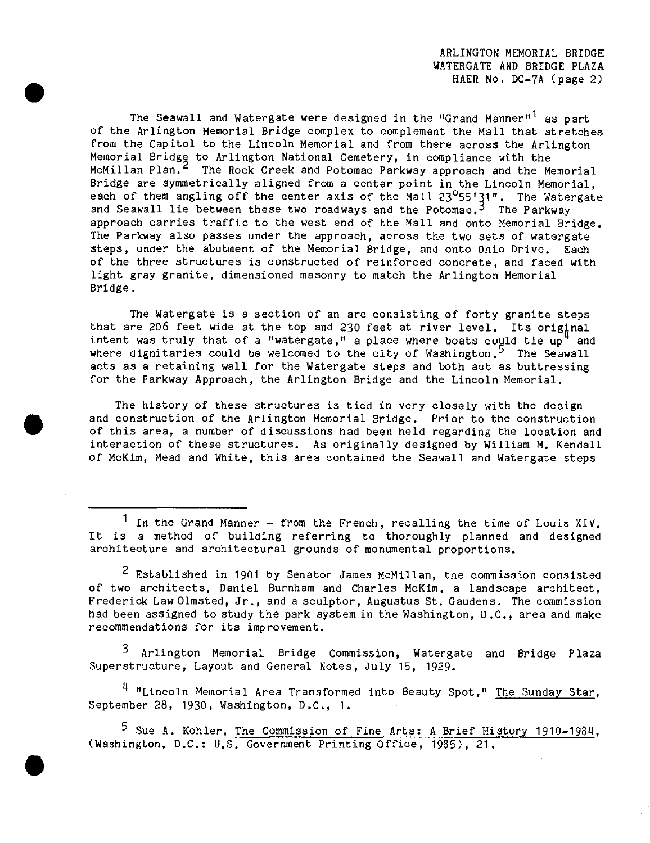ARLINGTON MEMORIAL BRIDGE WATERGATE AND BRIDGE PLAZA HAER No. DC-7A (page 2)

The S<mark>eaw</mark>all and Watergate were designed in the "Grand Manner"<sup>1</sup> as part of the Arlington Memorial Bridge complex to complement the Mall that stretches from the Capitol to the Lincoln Memorial and from there across the Arlington Memorial Bridge to Arlington National Cemetery, in compliance with the McMillan Plan.<sup>2</sup> The Rock Creek and Potomac Parkway approach and the Memorial Bridge are symmetrically aligned from a center point in the Lincoln Memorial, each of them angling off the center axis of the Mall 23<sup>0</sup>55'31". The Watergate and Seawall lie between these two roadways and the Potomac.<sup>3</sup> The Parkway approach carries traffic to the west end of the Mall and onto Memorial Bridge. The Parkway also passes under the approach, across the two sets of Watergate steps, under the abutment of the Memorial Bridge, and onto Ohio Drive. Each of the three structures is constructed of reinforced concrete, and faced with light gray granite, dimensioned masonry to match the Arlington Memorial Bridge.

The Watergate is a section of an arc consisting of forty granite steps that are 206 feet wide at the top and 230 feet at river level. Its original intent was truly that of a "watergate," a place where boats could tie  $up^4$  and where dignitaries could be welcomed to the city of Washington. $^5$  The Seawall acts as a retaining wall for the Watergate steps and both act as buttressing for the Parkway Approach, the Arlington Bridge and the Lincoln Memorial.

The history of these structures is tied in very closely with the design and construction of the Arlington Memorial Bridge. Prior to the construction of this area, a number of discussions had been held regarding the location and interaction of these structures. As originally designed by William M. Kendall of McKim, Mead and White, this area contained the Seawall and Watergate steps

 $1$  In the Grand Manner - from the French, recalling the time of Louis XIV. It is a method of building referring to thoroughly planned and designed architecture and architectural grounds of monumental proportions.

<sup>2</sup> Established in 1901 by Senator James McMillan, the commission consisted of two architects, Daniel Burnham and Charles McKim, a landscape architect, Frederick LawOlmsted, Jr., and <sup>a</sup> sculptor, Augustus St. Gaudens. The commission had been assigned to study the park system in the Washington, D.C, area and make recommendations for its improvement.

3 Arlington Memorial Bridge Commission, Watergate and Bridge Plaza Superstructure, Layout and General Notes, July 15, 1929.

<sup>4</sup> "Lincoln Memorial Area Transformed into Beauty Spot," The Sunday Star, September 28, 1930, Washington, D.C, 1.

<sup>5</sup> Sue A. Kohler, <u>The Commission of Fine Arts: A Brief History 1910-198</u>4, (Washington, D.C: U.S. Government Printing Office, 1985), 21.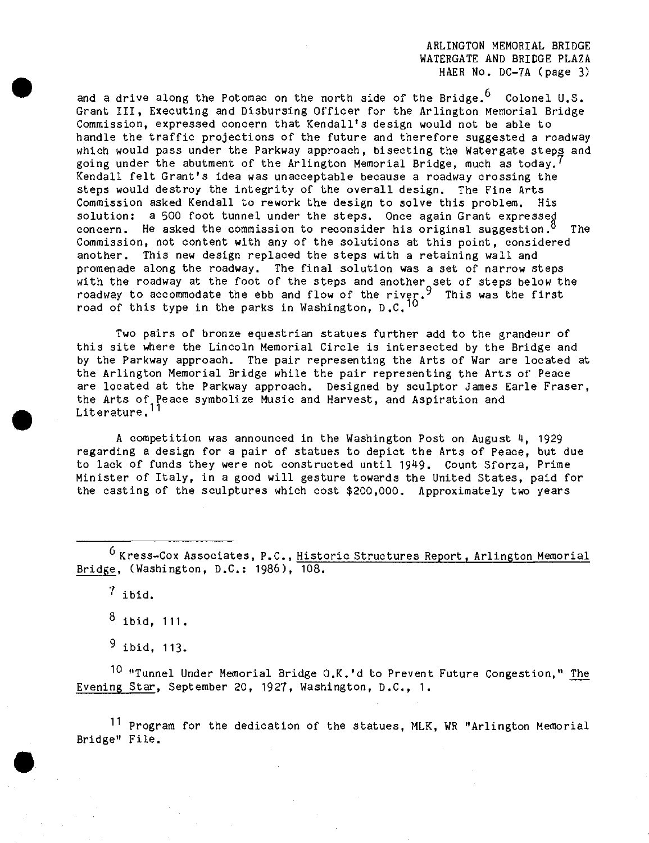ARLINGTON MEMORIAL BRIDGE WATERGATE AND BRIDGE PLAZA HAER No. DC-7A (page 3)

and a drive along the Potomac on the north side of the Bridge.  $6$  Colonel U.S. Grant III, Executing and Disbursing Officer for the Arlington Memorial Bridge Commission, expressed concern that Kendall'3 design would not be able to handle the traffic projections of the future and therefore suggested a roadway which would pass under the Parkway approach, bisecting the Watergate steps and going under the abutment of the Arlington Memorial Bridge, much as today.<sup>1</sup> Kendall felt Grant's idea was unacceptable because a roadway crossing the steps would destroy the integrity of the overall design. The Fine Arts Commission asked Kendall to rework the design to solve this problem. His solution; a 500 foot tunnel under the steps. Once again Grant expressed concern. He asked the commission to reconsider his original suggestion.<sup>3</sup> The Commission, not content with any of the solutions at this point, considered another. This new design replaced the steps with a retaining wall and promenade along the roadway. The final solution was a set of narrow steps with the roadway at the foot of the steps and another set of steps below the  $\,$ roadway to accommodate the ebb and flow of the river. $\rm{^3}$  This was the first road of this type in the parks in Washington,  $D.C.$ <sup>10</sup>

Two pairs of bronze equestrian statues further add to the grandeur of this site where the Lincoln Memorial Circle is intersected by the Bridge and by the Parkway approach. The pair representing the Arts of War are located at the Arlington Memorial Bridge while the pair representing the Arts of Peace are located at the Parkway approach. Designed by sculptor James Earle Fraser, the Arts of Peace symbolize Music and Harvest, and Aspiration and Literature.

<sup>A</sup> competition was announced in the Washington Post on August *<sup>U</sup>t* <sup>1929</sup> regarding a design for a pair of statues to depict the Arts of Peace, but due to lack of funds they were not constructed until 1949. Count Sforza, Prime Minister of Italy, in a good will gesture towards the United States, paid for the casting of the sculptures which cost \$200,000. Approximately two years

<sup>6</sup> Kress-Cox Associates, P.C., <u>Historic Structures Report, Arlington Memorial</u> Bridge, (Washington, D.C: 1986), 108.

 $7$  ibid.

 $^8$  ibid, 111.

<sup>9</sup> ibid, 113.

<sup>10</sup> "Tunnel Under Memorial Bridge O.K.'d to Prevent Future Congestion," The Evening Star, September 20, 1927, Washington, D.C, 1.

<sup>11</sup> Program for the dedication of the statues, MLK, WR "Arlington Memorial Bridge" File.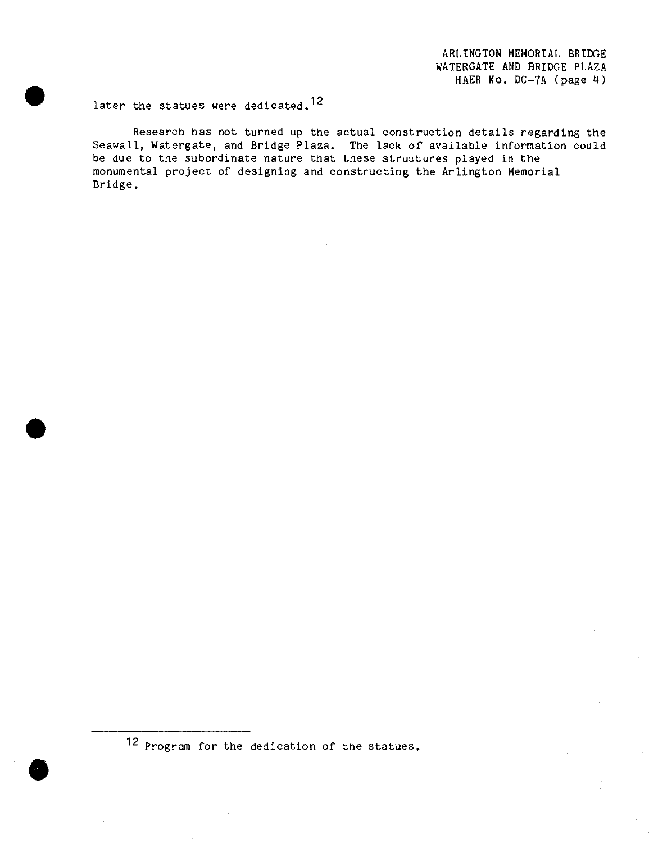ARLINGTON MEMORIAL BRIDGE WATERGATE AMD BRIDGE PLAZA HAER No. DC-7A (page 4)

later the statues were dedicated.<sup>12</sup>

Research has not turned up the actual construction details regarding the Seawall, Watergate, and Bridge Plaza. The lack of available information could be due to the subordinate nature that these structures played in the monumental project of designing and constructing the Arlington Memorial Bridge.

12 Program for the dedication of the statues.

**•**